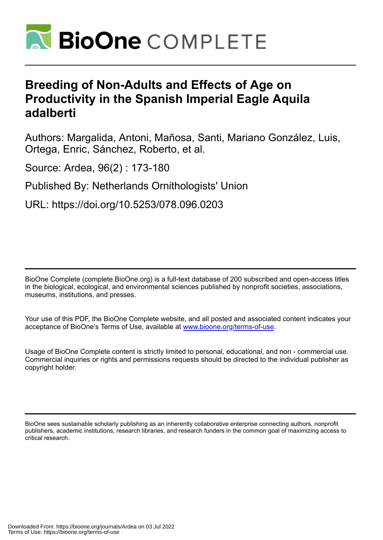

# **Breeding of Non-Adults and Effects of Age on Productivity in the Spanish Imperial Eagle Aquila adalberti**

Authors: Margalida, Antoni, Mañosa, Santi, Mariano González, Luis, Ortega, Enric, Sánchez, Roberto, et al.

Source: Ardea, 96(2) : 173-180

Published By: Netherlands Ornithologists' Union

URL: https://doi.org/10.5253/078.096.0203

BioOne Complete (complete.BioOne.org) is a full-text database of 200 subscribed and open-access titles in the biological, ecological, and environmental sciences published by nonprofit societies, associations, museums, institutions, and presses.

Your use of this PDF, the BioOne Complete website, and all posted and associated content indicates your acceptance of BioOne's Terms of Use, available at www.bioone.org/terms-of-use.

Usage of BioOne Complete content is strictly limited to personal, educational, and non - commercial use. Commercial inquiries or rights and permissions requests should be directed to the individual publisher as copyright holder.

BioOne sees sustainable scholarly publishing as an inherently collaborative enterprise connecting authors, nonprofit publishers, academic institutions, research libraries, and research funders in the common goal of maximizing access to critical research.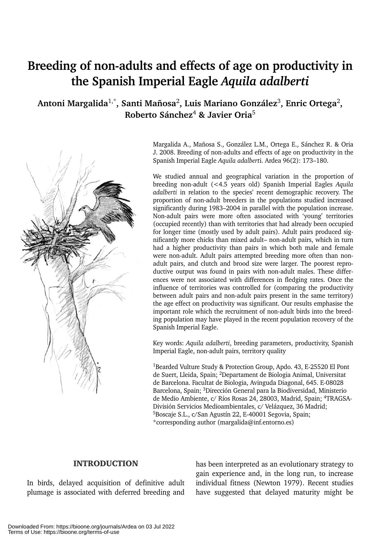# **Breeding of non-adults and effects of age on productivity in the Spanish Imperial Eagle** *Aquila adalberti*

**Antoni Margalida**1,\***, Santi Mañosa**2**, Luis Mariano González**3**, Enric Ortega**2**, Roberto Sánchez**<sup>4</sup> **& Javier Oria**<sup>5</sup>



Margalida A., Mañosa S., González L.M., Ortega E., Sánchez R. & Oria J. 2008. Breeding of non-adults and effects of age on productivity in the Spanish Imperial Eagle *Aquila adalbert*i. Ardea 96(2): 173–180.

We studied annual and geographical variation in the proportion of breeding non-adult (<4.5 years old) Spanish Imperial Eagles *Aquila adalberti* in relation to the species' recent demographic recovery. The proportion of non-adult breeders in the populations studied increased significantly during 1983–2004 in parallel with the population increase. Non-adult pairs were more often associated with 'young' territories (occupied recently) than with territories that had already been occupied for longer time (mostly used by adult pairs). Adult pairs produced significantly more chicks than mixed adult– non-adult pairs, which in turn had a higher productivity than pairs in which both male and female were non-adult. Adult pairs attempted breeding more often than nonadult pairs, and clutch and brood size were larger. The poorest reproductive output was found in pairs with non-adult males. These differences were not associated with differences in fledging rates. Once the influence of territories was controlled for (comparing the productivity between adult pairs and non-adult pairs present in the same territory) the age effect on productivity was significant. Our results emphasise the important role which the recruitment of non-adult birds into the breeding population may have played in the recent population recovery of the Spanish Imperial Eagle.

Key words: *Aquila adalberti*, breeding parameters, productivity, Spanish Imperial Eagle, non-adult pairs, territory quality

1Bearded Vulture Study & Protection Group, Apdo. 43, E-25520 El Pont de Suert, Lleida, Spain; 2Departament de Biologia Animal, Universitat de Barcelona. Facultat de Biologia, Avinguda Diagonal, 645. E-08028 Barcelona, Spain; 3Dirección General para la Biodiversidad, Ministerio de Medio Ambiente, c/ Ríos Rosas 24, 28003, Madrid, Spain; 4TRAGSA-División Servicios Medioambientales, c/ Velázquez, 36 Madrid; 5Boscaje S.L., c/San Agustín 22, E-40001 Segovia, Spain; \*corresponding author (margalida@inf.entorno.es)

# INTRODUCTION

In birds, delayed acquisition of definitive adult plumage is associated with deferred breeding and has been interpreted as an evolutionary strategy to gain experience and, in the long run, to increase individual fitness (Newton 1979). Recent studies have suggested that delayed maturity might be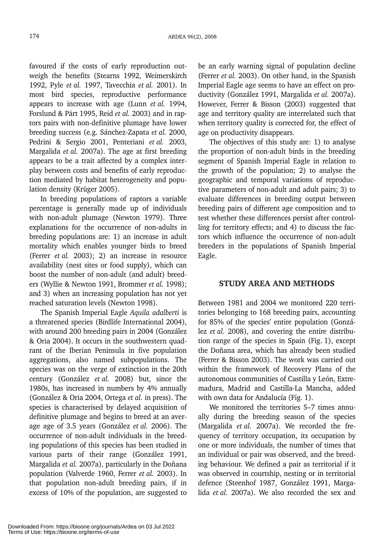favoured if the costs of early reproduction outweigh the benefits (Stearns 1992, Weimerskirch 1992, Pyle *et al.* 1997, Tavecchia *et al.* 2001). In most bird species, reproductive performance appears to increase with age (Lunn *et al.* 1994, Forslund & Pärt 1995, Reid *et al.* 2003) and in raptors pairs with non-definitive plumage have lower breeding success (e.g. Sánchez-Zapata *et al.* 2000, Pedrini & Sergio 2001, Penteriani *et al.* 2003, Margalida *et al.* 2007a). The age at first breeding appears to be a trait affected by a complex interplay between costs and benefits of early reproduction mediated by habitat heterogeneity and population density (Krüger 2005).

In breeding populations of raptors a variable percentage is generally made up of individuals with non-adult plumage (Newton 1979). Three explanations for the occurrence of non-adults in breeding populations are: 1) an increase in adult mortality which enables younger birds to breed (Ferrer *et al.* 2003); 2) an increase in resource availability (nest sites or food supply), which can boost the number of non-adult (and adult) breeders (Wyllie & Newton 1991, Brommer *et al.* 1998); and 3) when an increasing population has not yet reached saturation levels (Newton 1998).

The Spanish Imperial Eagle *Aquila adalberti* is a threatened species (Birdlife International 2004), with around 200 breeding pairs in 2004 (González & Oria 2004). It occurs in the southwestern quadrant of the Iberian Peninsula in five population aggregations, also named subpopulations. The species was on the verge of extinction in the 20th century (González *et al.* 2008) but, since the 1980s, has increased in numbers by 4% annually (González & Oria 2004, Ortega *et al.* in press). The species is characterised by delayed acquisition of definitive plumage and begins to breed at an average age of 3.5 years (González *et al.* 2006). The occurrence of non-adult individuals in the breeding populations of this species has been studied in various parts of their range (González 1991, Margalida *et al.* 2007a), particularly in the Doñana population (Valverde 1960, Ferrer *et al.* 2003). In that population non-adult breeding pairs, if in excess of 10% of the population, are suggested to be an early warning signal of population decline (Ferrer *et al.* 2003). On other hand, in the Spanish Imperial Eagle age seems to have an effect on productivity (González 1991, Margalida *et al.* 2007a). However, Ferrer & Bisson (2003) suggested that age and territory quality are interrelated such that when territory quality is corrected for, the effect of age on productivity disappears.

The objectives of this study are: 1) to analyse the proportion of non-adult birds in the breeding segment of Spanish Imperial Eagle in relation to the growth of the population; 2) to analyse the geographic and temporal variations of reproductive parameters of non-adult and adult pairs; 3) to evaluate differences in breeding output between breeding pairs of different age composition and to test whether these differences persist after controlling for territory effects; and 4) to discuss the factors which influence the occurrence of non-adult breeders in the populations of Spanish Imperial Eagle.

## STUDY AREA AND METHODS

Between 1981 and 2004 we monitored 220 territories belonging to 168 breeding pairs, accounting for 85% of the species' entire population (González *et al.* 2008), and covering the entire distribution range of the species in Spain (Fig. 1), except the Doñana area, which has already been studied (Ferrer & Bisson 2003). The work was carried out within the framework of Recovery Plans of the autonomous communities of Castilla y León, Extremadura, Madrid and Castilla-La Mancha, added with own data for Andalucía (Fig. 1).

We monitored the territories 5–7 times annually during the breeding season of the species (Margalida *et al.* 2007a). We recorded the frequency of territory occupation, its occupation by one or more individuals, the number of times that an individual or pair was observed, and the breeding behaviour. We defined a pair as territorial if it was observed in courtship, nesting or in territorial defence (Steenhof 1987, González 1991, Margalida *et al.* 2007a). We also recorded the sex and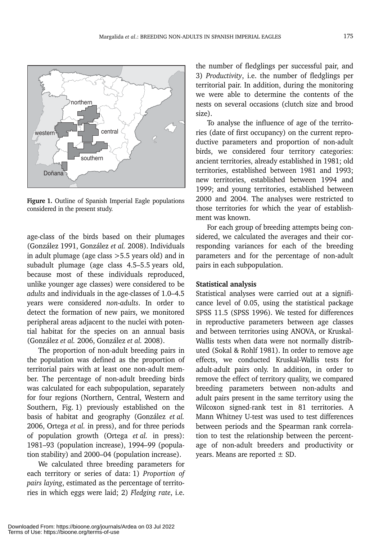

**Figure 1.** Outline of Spanish Imperial Eagle populations considered in the present study.

age-class of the birds based on their plumages (González 1991, González *et al.* 2008). Individuals in adult plumage (age class >5.5 years old) and in subadult plumage (age class 4.5–5.5 years old, because most of these individuals reproduced, unlike younger age classes) were considered to be *adults* and individuals in the age-classes of 1.0–4.5 years were considered *non-adults*. In order to detect the formation of new pairs, we monitored peripheral areas adjacent to the nuclei with potential habitat for the species on an annual basis (González *et al.* 2006, González *et al.* 2008).

The proportion of non-adult breeding pairs in the population was defined as the proportion of territorial pairs with at least one non-adult member. The percentage of non-adult breeding birds was calculated for each subpopulation, separately for four regions (Northern, Central, Western and Southern, Fig. 1) previously established on the basis of habitat and geography (González *et al.* 2006, Ortega *et al.* in press), and for three periods of population growth (Ortega *et al.* in press): 1981–93 (population increase), 1994–99 (population stability) and 2000–04 (population increase).

We calculated three breeding parameters for each territory or series of data: 1) *Proportion of pairs laying*, estimated as the percentage of territories in which eggs were laid; 2) *Fledging rate*, i.e. the number of fledglings per successful pair, and 3) *Productivity*, i.e. the number of fledglings per territorial pair. In addition, during the monitoring we were able to determine the contents of the nests on several occasions (clutch size and brood size).

To analyse the influence of age of the territories (date of first occupancy) on the current reproductive parameters and proportion of non-adult birds, we considered four territory categories: ancient territories, already established in 1981; old territories, established between 1981 and 1993; new territories, established between 1994 and 1999; and young territories, established between 2000 and 2004. The analyses were restricted to those territories for which the year of establishment was known.

For each group of breeding attempts being considered, we calculated the averages and their corresponding variances for each of the breeding parameters and for the percentage of non-adult pairs in each subpopulation.

## **Statistical analysis**

Statistical analyses were carried out at a significance level of 0.05, using the statistical package SPSS 11.5 (SPSS 1996). We tested for differences in reproductive parameters between age classes and between territories using ANOVA, or Kruskal-Wallis tests when data were not normally distributed (Sokal & Rohlf 1981). In order to remove age effects, we conducted Kruskal-Wallis tests for adult-adult pairs only. In addition, in order to remove the effect of territory quality, we compared breeding parameters between non-adults and adult pairs present in the same territory using the Wilcoxon signed-rank test in 81 territories. A Mann Whitney U-test was used to test differences between periods and the Spearman rank correlation to test the relationship between the percentage of non-adult breeders and productivity or years. Means are reported  $\pm$  SD.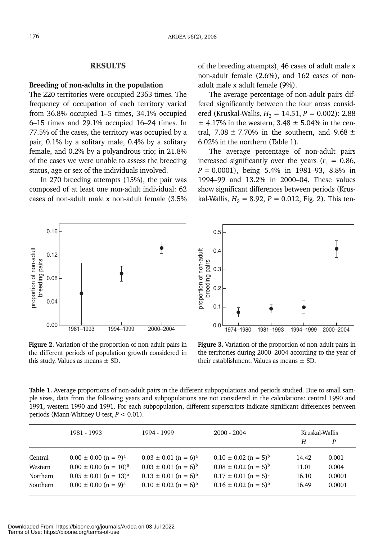### RESULTS

#### **Breeding of non-adults in the population**

The 220 territories were occupied 2363 times. The frequency of occupation of each territory varied from 36.8% occupied 1–5 times, 34.1% occupied 6–15 times and 29.1% occupied 16–24 times. In 77.5% of the cases, the territory was occupied by a pair, 0.1% by a solitary male, 0.4% by a solitary female, and 0.2% by a polyandrous trio; in 21.8% of the cases we were unable to assess the breeding status, age or sex of the individuals involved.

In 270 breeding attempts (15%), the pair was composed of at least one non-adult individual: 62 cases of non-adult male x non-adult female (3.5% of the breeding attempts), 46 cases of adult male x non-adult female (2.6%), and 162 cases of nonadult male x adult female (9%).

The average percentage of non-adult pairs differed significantly between the four areas considered (Kruskal-Wallis,  $H_3 = 14.51$ ,  $P = 0.002$ ): 2.88  $\pm$  4.17% in the western, 3.48  $\pm$  5.04% in the central, 7.08  $\pm$  7.70% in the southern, and 9.68  $\pm$ 6.02% in the northern (Table 1).

The average percentage of non-adult pairs increased significantly over the years ( $r_s = 0.86$ , *P* = 0.0001), being 5.4% in 1981–93, 8.8% in 1994–99 and 13.2% in 2000–04. These values show significant differences between periods (Kruskal-Wallis,  $H_3 = 8.92$ ,  $P = 0.012$ , Fig. 2). This ten-



**Figure 2.** Variation of the proportion of non-adult pairs in the different periods of population growth considered in this study. Values as means  $\pm$  SD.



**Figure 3.** Variation of the proportion of non-adult pairs in the territories during 2000–2004 according to the year of their establishment. Values as means ± SD.

**Table 1.** Average proportions of non-adult pairs in the different subpopulations and periods studied. Due to small sample sizes, data from the following years and subpopulations are not considered in the calculations: central 1990 and 1991, western 1990 and 1991. For each subpopulation, different superscripts indicate significant differences between periods (Mann-Whitney U-test, *P* < 0.01).

|          | 1981 - 1993                           | 1994 - 1999                          | $2000 - 2004$                        | Kruskal-Wallis |        |
|----------|---------------------------------------|--------------------------------------|--------------------------------------|----------------|--------|
|          |                                       |                                      |                                      | Н              | P      |
| Central  | $0.00 \pm 0.00$ (n = 9) <sup>a</sup>  | $0.03 \pm 0.01$ (n = 6) <sup>a</sup> | $0.10 \pm 0.02$ (n = 5) <sup>b</sup> | 14.42          | 0.001  |
| Western  | $0.00 \pm 0.00$ (n = 10) <sup>a</sup> | $0.03 \pm 0.01$ (n = 6) <sup>b</sup> | $0.08 \pm 0.02$ (n = 5) <sup>b</sup> | 11.01          | 0.004  |
| Northern | $0.05 \pm 0.01$ (n = 13) <sup>a</sup> | $0.13 \pm 0.01$ (n = 6) <sup>b</sup> | $0.17 \pm 0.01$ (n = 5) <sup>c</sup> | 16.10          | 0.0001 |
| Southern | $0.00 \pm 0.00$ (n = 9) <sup>a</sup>  | $0.10 \pm 0.02$ (n = 6) <sup>b</sup> | $0.16 \pm 0.02$ (n = 5) <sup>b</sup> | 16.49          | 0.0001 |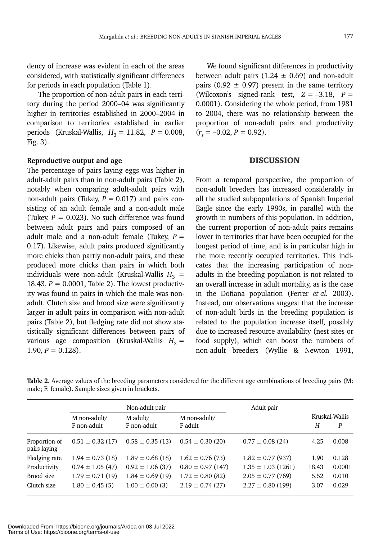dency of increase was evident in each of the areas considered, with statistically significant differences for periods in each population (Table 1).

The proportion of non-adult pairs in each territory during the period 2000–04 was significantly higher in territories established in 2000–2004 in comparison to territories established in earlier periods (Kruskal-Wallis,  $H_3 = 11.82$ ,  $P = 0.008$ , Fig. 3).

## **Reproductive output and age**

The percentage of pairs laying eggs was higher in adult-adult pairs than in non-adult pairs (Table 2), notably when comparing adult-adult pairs with non-adult pairs (Tukey,  $P = 0.017$ ) and pairs consisting of an adult female and a non-adult male (Tukey,  $P = 0.023$ ). No such difference was found between adult pairs and pairs composed of an adult male and a non-adult female (Tukey,  $P =$ 0.17). Likewise, adult pairs produced significantly more chicks than partly non-adult pairs, and these produced more chicks than pairs in which both individuals were non-adult (Kruskal-Wallis  $H_3$  = 18.43,  $P = 0.0001$ , Table 2). The lowest productivity was found in pairs in which the male was nonadult. Clutch size and brood size were significantly larger in adult pairs in comparison with non-adult pairs (Table 2), but fledging rate did not show statistically significant differences between pairs of various age composition (Kruskal-Wallis  $H_3 =$  $1.90, P = 0.128$ .

We found significant differences in productivity between adult pairs (1.24  $\pm$  0.69) and non-adult pairs (0.92  $\pm$  0.97) present in the same territory (Wilcoxon's signed-rank test,  $Z = -3.18$ ,  $P =$ 0.0001). Considering the whole period, from 1981 to 2004, there was no relationship between the proportion of non-adult pairs and productivity  $(r<sub>s</sub> = -0.02, P = 0.92).$ 

### **DISCUSSION**

From a temporal perspective, the proportion of non-adult breeders has increased considerably in all the studied subpopulations of Spanish Imperial Eagle since the early 1980s, in parallel with the growth in numbers of this population. In addition, the current proportion of non-adult pairs remains lower in territories that have been occupied for the longest period of time, and is in particular high in the more recently occupied territories. This indicates that the increasing participation of nonadults in the breeding population is not related to an overall increase in adult mortality, as is the case in the Doñana population (Ferrer *et al.* 2003). Instead, our observations suggest that the increase of non-adult birds in the breeding population is related to the population increase itself, possibly due to increased resource availability (nest sites or food supply), which can boost the numbers of non-adult breeders (Wyllie & Newton 1991,

**Table 2.** Average values of the breeding parameters considered for the different age combinations of breeding pairs (M: male; F: female). Sample sizes given in brackets.

|                               | Non-adult pair           |                      | Adult pair            |                        |                |        |
|-------------------------------|--------------------------|----------------------|-----------------------|------------------------|----------------|--------|
|                               | M adult/<br>M non-adult/ |                      | M non-adult/          |                        | Kruskal-Wallis |        |
|                               | F non-adult              | F non-adult          | F adult               |                        | Н              | P      |
| Proportion of<br>pairs laying | $0.51 \pm 0.32$ (17)     | $0.58 \pm 0.35$ (13) | $0.54 \pm 0.30(20)$   | $0.77 \pm 0.08$ (24)   | 4.25           | 0.008  |
| Fledging rate                 | $1.94 \pm 0.73$ (18)     | $1.89 \pm 0.68$ (18) | $1.62 \pm 0.76(73)$   | $1.82 \pm 0.77$ (937)  | 1.90           | 0.128  |
| Productivity                  | $0.74 \pm 1.05$ (47)     | $0.92 \pm 1.06$ (37) | $0.80 \pm 0.97$ (147) | $1.35 \pm 1.03$ (1261) | 18.43          | 0.0001 |
| Brood size                    | $1.79 \pm 0.71(19)$      | $1.84 \pm 0.69$ (19) | $1.72 \pm 0.80$ (82)  | $2.05 \pm 0.77$ (769)  | 5.52           | 0.010  |
| Clutch size                   | $1.80 \pm 0.45$ (5)      | $1.00 \pm 0.00$ (3)  | $2.19 \pm 0.74$ (27)  | $2.27 \pm 0.80$ (199)  | 3.07           | 0.029  |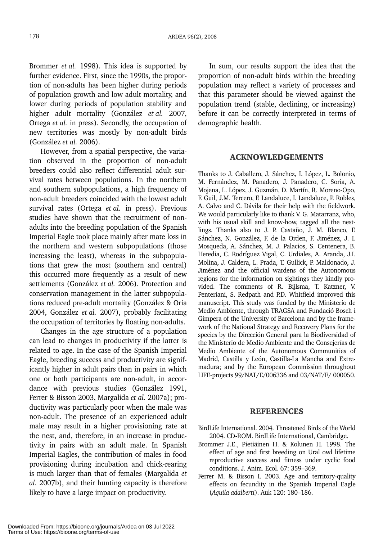Brommer *et al.* 1998). This idea is supported by further evidence. First, since the 1990s, the proportion of non-adults has been higher during periods of population growth and low adult mortality, and lower during periods of population stability and higher adult mortality (González *et al.* 2007, Ortega *et al.* in press). Secondly, the occupation of new territories was mostly by non-adult birds (González *et al.* 2006).

However, from a spatial perspective, the variation observed in the proportion of non-adult breeders could also reflect differential adult survival rates between populations. In the northern and southern subpopulations, a high frequency of non-adult breeders coincided with the lowest adult survival rates (Ortega *et al.* in press). Previous studies have shown that the recruitment of nonadults into the breeding population of the Spanish Imperial Eagle took place mainly after mate loss in the northern and western subpopulations (those increasing the least), whereas in the subpopulations that grew the most (southern and central) this occurred more frequently as a result of new settlements (González *et al.* 2006). Protection and conservation management in the latter subpopulations reduced pre-adult mortality (González & Oria 2004, González *et al.* 2007), probably facilitating the occupation of territories by floating non-adults.

Changes in the age structure of a population can lead to changes in productivity if the latter is related to age. In the case of the Spanish Imperial Eagle, breeding success and productivity are significantly higher in adult pairs than in pairs in which one or both participants are non-adult, in accordance with previous studies (González 1991, Ferrer & Bisson 2003, Margalida *et al.* 2007a); productivity was particularly poor when the male was non-adult. The presence of an experienced adult male may result in a higher provisioning rate at the nest, and, therefore, in an increase in productivity in pairs with an adult male. In Spanish Imperial Eagles, the contribution of males in food provisioning during incubation and chick-rearing is much larger than that of females (Margalida *et al.* 2007b), and their hunting capacity is therefore likely to have a large impact on productivity.

In sum, our results support the idea that the proportion of non-adult birds within the breeding population may reflect a variety of processes and that this parameter should be viewed against the population trend (stable, declining, or increasing) before it can be correctly interpreted in terms of demographic health.

## ACKNOWLEDGEMENTS

Thanks to J. Caballero, J. Sánchez, I. López, L. Bolonio, M. Fernández, M. Panadero, J. Panadero, C. Soria, A. Mojena, L. López, J. Guzmán, D. Martín, R. Moreno-Opo, F. Guil, J.M. Tercero, F. Landaluce, I. Landaluce, P. Robles, A. Calvo and C. Dávila for their help with the fieldwork. We would particularly like to thank V. G. Matarranz, who, with his usual skill and know-how, tagged all the nestlings. Thanks also to J. P. Castaño, J. M. Blanco, F. Sánchez, N. González, F. de la Orden, F. Jiménez, J. I. Mosqueda, A. Sánchez, M. J. Palacios, S. Centenera, B. Heredia, C. Rodríguez Vigal, C. Urdiales, A. Aranda, J.I. Molina, J. Caldera, L. Prada, T. Gullick, P. Maldonado, J. Jiménez and the official wardens of the Autonomous regions for the information on sightings they kindly provided. The comments of R. Bijlsma, T. Katzner, V. Penteriani, S. Redpath and P.D. Whitfield improved this manuscript. This study was funded by the Ministerio de Medio Ambiente, through TRAGSA and Fundació Bosch i Gimpera of the University of Barcelona and by the framework of the National Strategy and Recovery Plans for the species by the Dirección General para la Biodiversidad of the Ministerio de Medio Ambiente and the Consejerías de Medio Ambiente of the Autonomous Communities of Madrid, Castilla y León, Castilla-La Mancha and Extremadura; and by the European Commission throughout LIFE-projects 99/NAT/E/006336 and 03/NAT/E/ 000050.

## **REFERENCES**

- BirdLife International. 2004. Threatened Birds of the World 2004. CD-ROM. BirdLife International, Cambridge.
- Brommer J.E., Pietiäinen H. & Kolunen H. 1998. The effect of age and first breeding on Ural owl lifetime reproductive success and fitness under cyclic food conditions. J. Anim. Ecol. 67: 359–369.
- Ferrer M. & Bisson I. 2003. Age and territory-quality effects on fecundity in the Spanish Imperial Eagle (*Aquila adalberti*). Auk 120: 180–186.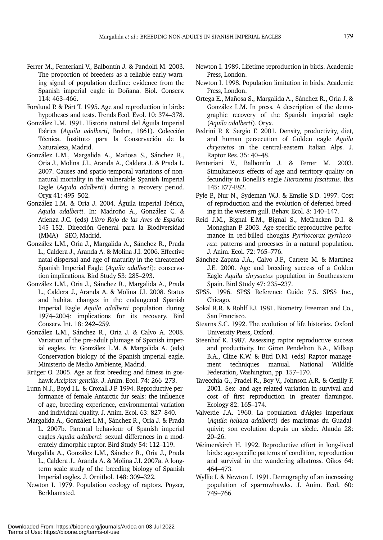- Ferrer M., Penteriani V., Balbontín J. & Pandolfi M. 2003. The proportion of breeders as a reliable early warning signal of population decline: evidence from the Spanish imperial eagle in Doñana. Biol. Conserv. 114: 463–466.
- Forslund P. & Pärt T. 1995. Age and reproduction in birds: hypotheses and tests. Trends Ecol. Evol. 10: 374–378.
- González L.M. 1991. Historia natural del Águila Imperial Ibérica (*Aquila adalberti*, Brehm, 1861). Colección Técnica. Instituto para la Conservación de la Naturaleza, Madrid.
- González L.M., Margalida A., Mañosa S., Sánchez R., Oria J., Molina J.I., Aranda A., Caldera J. & Prada L. 2007. Causes and spatio-temporal variations of nonnatural mortality in the vulnerable Spanish Imperial Eagle (*Aquila adalberti*) during a recovery period. Oryx 41: 495–502.
- González L.M. & Oria J. 2004. Águila imperial Ibérica, *Aquila adalberti*. In: Madroño A., González C. & Atienza J.C. (eds) *Libro Rojo de las Aves de España*: 145–152. Dirección General para la Biodiversidad (MMA) – SEO, Madrid.
- González L.M., Oria J., Margalida A., Sánchez R., Prada L., Caldera J., Aranda A. & Molina J.I. 2006. Effective natal dispersal and age of maturity in the threatened Spanish Imperial Eagle (*Aquila adalberti*): conservation implications. Bird Study 53: 285–293.
- González L.M., Oria J., Sánchez R., Margalida A., Prada L., Caldera J., Aranda A. & Molina J.I. 2008. Status and habitat changes in the endangered Spanish Imperial Eagle *Aquila adalberti* population during 1974–2004: implications for its recovery. Bird Conserv. Int. 18: 242–259.
- González L.M., Sánchez R., Oria J. & Calvo A. 2008. Variation of the pre-adult plumage of Spanish imperial eagles. *In*: González L.M. & Margalida A. (eds) Conservation biology of the Spanish imperial eagle. Ministerio de Medio Ambiente, Madrid.
- Krüger O. 2005. Age at first breeding and fitness in goshawk *Accipiter gentilis*. J. Anim. Ecol. 74: 266–273.
- Lunn N.J., Boyd I.L. & Croxall J.P. 1994. Reproductive performance of female Antarctic fur seals: the influence of age, breeding experience, environmental variation and individual quality. J. Anim. Ecol. 63: 827–840.
- Margalida A., González L.M., Sánchez R., Oria J. & Prada L. 2007b. Parental behaviour of Spanish imperial eagles *Aquila adalberti*: sexual differences in a moderately dimorphic raptor. Bird Study 54: 112–119.
- Margalida A., González L.M., Sánchez R., Oria J., Prada L., Caldera J., Aranda A. & Molina J.I. 2007a. A longterm scale study of the breeding biology of Spanish Imperial eagles. J. Ornithol. 148: 309–322.
- Newton I. 1979. Population ecology of raptors. Poyser, Berkhamsted.
- Newton I. 1989. Lifetime reproduction in birds. Academic Press, London.
- Newton I. 1998. Population limitation in birds. Academic Press, London.
- Ortega E., Mañosa S., Margalida A., Sánchez R., Oria J. & González L.M. In press. A description of the demographic recovery of the Spanish imperial eagle (*Aquila adalberti*). Oryx.
- Pedrini P. & Sergio F. 2001. Density, productivity, diet, and human persecution of Golden eagle *Aquila chrysaetos* in the central-eastern Italian Alps. J. Raptor Res. 35: 40–48.
- Penteriani V., Balbontín J. & Ferrer M. 2003. Simultaneous effects of age and territory quality on fecundity in Bonelli's eagle *Hieraaetus fascitatus*. Ibis 145: E77-E82.
- Pyle P., Nur N., Sydeman W.J. & Emslie S.D. 1997. Cost of reproduction and the evolution of deferred breeding in the western gull. Behav. Ecol. 8: 140–147.
- Reid J.M., Bignal E.M., Bignal S., McCracken D.I. & Monaghan P. 2003. Age-specific reproductive performance in red-billed choughs *Pyrrhocorax pyrrhocorax*: patterns and processes in a natural population. J. Anim. Ecol. 72: 765–776.
- Sánchez-Zapata J.A., Calvo J.F., Carrete M. & Martínez J.E. 2000. Age and breeding success of a Golden Eagle *Aquila chrysaetos* population in Southeastern Spain. Bird Study 47: 235–237.
- SPSS. 1996. SPSS Reference Guide 7.5. SPSS Inc., Chicago.
- Sokal R.R. & Rohlf F.J. 1981. Biometry. Freeman and Co., San Francisco.
- Stearns S.C. 1992. The evolution of life histories. Oxford University Press, Oxford.
- Steenhof K. 1987. Assessing raptor reproductive success and productivity. In: Giron Pendelton B.A., Millsap B.A., Cline K.W. & Bird D.M. (eds) Raptor management techniques manual. National Wildlife Federation, Washington, pp. 157–170.
- Tavecchia G., Pradel R., Boy V., Johnson A.R. & Cezilly F. 2001. Sex- and age-related variation in survival and cost of first reproduction in greater flamingos. Ecology 82: 165–174.
- Valverde J.A. 1960. La population d'Aigles imperiaux (*Aquila heliaca adalberti*) des marismas du Guadalquivir; son evolution depuis un siècle. Alauda 28: 20–26.
- Weimerskirch H. 1992. Reproductive effort in long-lived birds: age-specific patterns of condition, reproduction and survival in the wandering albatross. Oikos 64: 464–473.
- Wyllie I. & Newton I. 1991. Demography of an increasing population of sparrowhawks. J. Anim. Ecol. 60: 749–766.